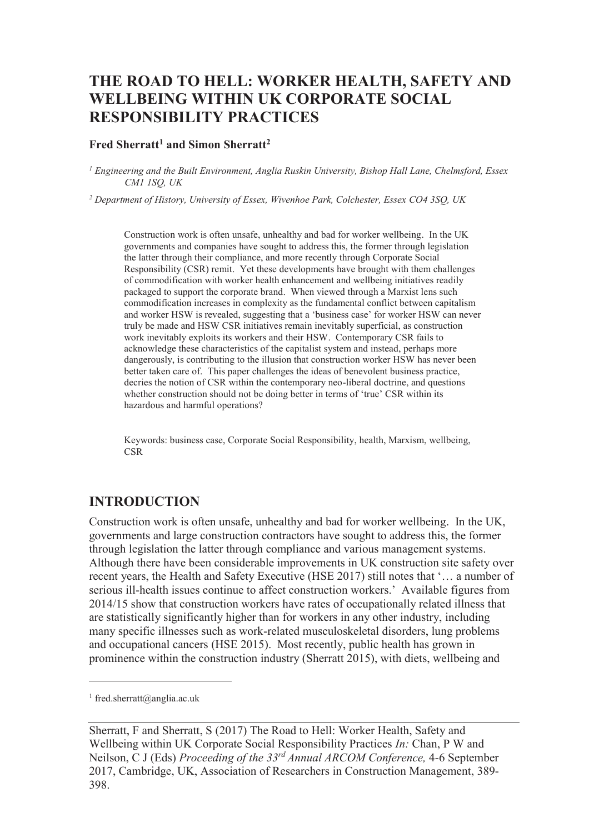# **THE ROAD TO HELL: WORKER HEALTH, SAFETY AND WELLBEING WITHIN UK CORPORATE SOCIAL RESPONSIBILITY PRACTICES**

#### **Fred Sherratt<sup>1</sup> and Simon Sherratt<sup>2</sup>**

*1 Engineering and the Built Environment, Anglia Ruskin University, Bishop Hall Lane, Chelmsford, Essex CM1 1SQ, UK* 

*2 Department of History, University of Essex, Wivenhoe Park, Colchester, Essex CO4 3SQ, UK* 

Construction work is often unsafe, unhealthy and bad for worker wellbeing. In the UK governments and companies have sought to address this, the former through legislation the latter through their compliance, and more recently through Corporate Social Responsibility (CSR) remit. Yet these developments have brought with them challenges of commodification with worker health enhancement and wellbeing initiatives readily packaged to support the corporate brand. When viewed through a Marxist lens such commodification increases in complexity as the fundamental conflict between capitalism and worker HSW is revealed, suggesting that a 'business case' for worker HSW can never truly be made and HSW CSR initiatives remain inevitably superficial, as construction work inevitably exploits its workers and their HSW. Contemporary CSR fails to acknowledge these characteristics of the capitalist system and instead, perhaps more dangerously, is contributing to the illusion that construction worker HSW has never been better taken care of. This paper challenges the ideas of benevolent business practice, decries the notion of CSR within the contemporary neo-liberal doctrine, and questions whether construction should not be doing better in terms of 'true' CSR within its hazardous and harmful operations?

Keywords: business case, Corporate Social Responsibility, health, Marxism, wellbeing, CSR

### **INTRODUCTION**

Construction work is often unsafe, unhealthy and bad for worker wellbeing. In the UK, governments and large construction contractors have sought to address this, the former through legislation the latter through compliance and various management systems. Although there have been considerable improvements in UK construction site safety over recent years, the Health and Safety Executive (HSE 2017) still notes that '… a number of serious ill-health issues continue to affect construction workers.' Available figures from 2014/15 show that construction workers have rates of occupationally related illness that are statistically significantly higher than for workers in any other industry, including many specific illnesses such as work-related musculoskeletal disorders, lung problems and occupational cancers (HSE 2015). Most recently, public health has grown in prominence within the construction industry (Sherratt 2015), with diets, wellbeing and

 $\overline{a}$ 

<sup>1</sup> fred.sherratt@anglia.ac.uk

Sherratt, F and Sherratt, S (2017) The Road to Hell: Worker Health, Safety and Wellbeing within UK Corporate Social Responsibility Practices *In:* Chan, P W and Neilson, C J (Eds) *Proceeding of the 33rd Annual ARCOM Conference,* 4-6 September 2017, Cambridge, UK, Association of Researchers in Construction Management, 389- 398.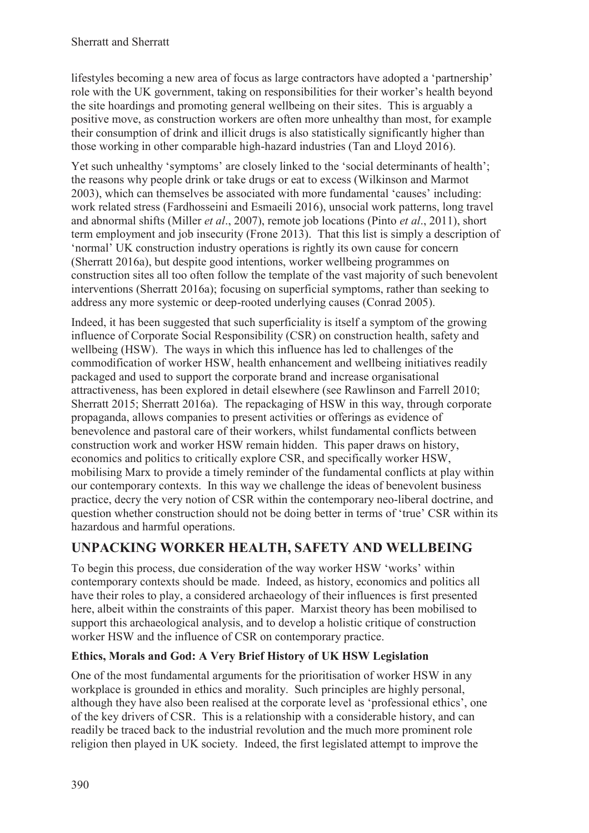lifestyles becoming a new area of focus as large contractors have adopted a 'partnership' role with the UK government, taking on responsibilities for their worker's health beyond the site hoardings and promoting general wellbeing on their sites. This is arguably a positive move, as construction workers are often more unhealthy than most, for example their consumption of drink and illicit drugs is also statistically significantly higher than those working in other comparable high-hazard industries (Tan and Lloyd 2016).

Yet such unhealthy 'symptoms' are closely linked to the 'social determinants of health'; the reasons why people drink or take drugs or eat to excess (Wilkinson and Marmot 2003), which can themselves be associated with more fundamental 'causes' including: work related stress (Fardhosseini and Esmaeili 2016), unsocial work patterns, long travel and abnormal shifts (Miller *et al*., 2007), remote job locations (Pinto *et al*., 2011), short term employment and job insecurity (Frone 2013). That this list is simply a description of 'normal' UK construction industry operations is rightly its own cause for concern (Sherratt 2016a), but despite good intentions, worker wellbeing programmes on construction sites all too often follow the template of the vast majority of such benevolent interventions (Sherratt 2016a); focusing on superficial symptoms, rather than seeking to address any more systemic or deep-rooted underlying causes (Conrad 2005).

Indeed, it has been suggested that such superficiality is itself a symptom of the growing influence of Corporate Social Responsibility (CSR) on construction health, safety and wellbeing (HSW). The ways in which this influence has led to challenges of the commodification of worker HSW, health enhancement and wellbeing initiatives readily packaged and used to support the corporate brand and increase organisational attractiveness, has been explored in detail elsewhere (see Rawlinson and Farrell 2010; Sherratt 2015; Sherratt 2016a). The repackaging of HSW in this way, through corporate propaganda, allows companies to present activities or offerings as evidence of benevolence and pastoral care of their workers, whilst fundamental conflicts between construction work and worker HSW remain hidden. This paper draws on history, economics and politics to critically explore CSR, and specifically worker HSW, mobilising Marx to provide a timely reminder of the fundamental conflicts at play within our contemporary contexts. In this way we challenge the ideas of benevolent business practice, decry the very notion of CSR within the contemporary neo-liberal doctrine, and question whether construction should not be doing better in terms of 'true' CSR within its hazardous and harmful operations.

## **UNPACKING WORKER HEALTH, SAFETY AND WELLBEING**

To begin this process, due consideration of the way worker HSW 'works' within contemporary contexts should be made. Indeed, as history, economics and politics all have their roles to play, a considered archaeology of their influences is first presented here, albeit within the constraints of this paper. Marxist theory has been mobilised to support this archaeological analysis, and to develop a holistic critique of construction worker HSW and the influence of CSR on contemporary practice.

### **Ethics, Morals and God: A Very Brief History of UK HSW Legislation**

One of the most fundamental arguments for the prioritisation of worker HSW in any workplace is grounded in ethics and morality. Such principles are highly personal, although they have also been realised at the corporate level as 'professional ethics', one of the key drivers of CSR. This is a relationship with a considerable history, and can readily be traced back to the industrial revolution and the much more prominent role religion then played in UK society. Indeed, the first legislated attempt to improve the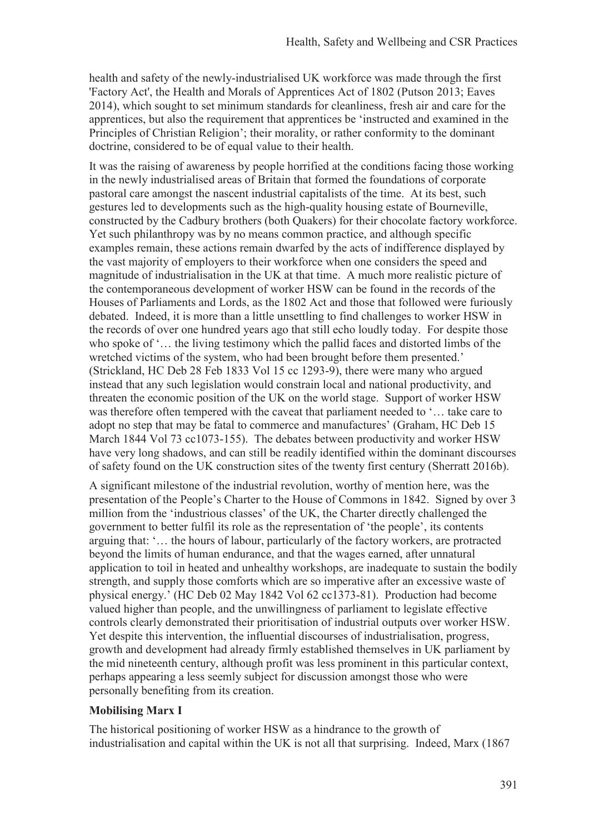health and safety of the newly-industrialised UK workforce was made through the first 'Factory Act', the Health and Morals of Apprentices Act of 1802 (Putson 2013; Eaves 2014), which sought to set minimum standards for cleanliness, fresh air and care for the apprentices, but also the requirement that apprentices be 'instructed and examined in the Principles of Christian Religion'; their morality, or rather conformity to the dominant doctrine, considered to be of equal value to their health.

It was the raising of awareness by people horrified at the conditions facing those working in the newly industrialised areas of Britain that formed the foundations of corporate pastoral care amongst the nascent industrial capitalists of the time. At its best, such gestures led to developments such as the high-quality housing estate of Bourneville, constructed by the Cadbury brothers (both Quakers) for their chocolate factory workforce. Yet such philanthropy was by no means common practice, and although specific examples remain, these actions remain dwarfed by the acts of indifference displayed by the vast majority of employers to their workforce when one considers the speed and magnitude of industrialisation in the UK at that time. A much more realistic picture of the contemporaneous development of worker HSW can be found in the records of the Houses of Parliaments and Lords, as the 1802 Act and those that followed were furiously debated. Indeed, it is more than a little unsettling to find challenges to worker HSW in the records of over one hundred years ago that still echo loudly today. For despite those who spoke of '… the living testimony which the pallid faces and distorted limbs of the wretched victims of the system, who had been brought before them presented.' (Strickland, HC Deb 28 Feb 1833 Vol 15 cc 1293-9), there were many who argued instead that any such legislation would constrain local and national productivity, and threaten the economic position of the UK on the world stage. Support of worker HSW was therefore often tempered with the caveat that parliament needed to '… take care to adopt no step that may be fatal to commerce and manufactures' (Graham, HC Deb 15 March 1844 Vol 73 cc1073-155). The debates between productivity and worker HSW have very long shadows, and can still be readily identified within the dominant discourses of safety found on the UK construction sites of the twenty first century (Sherratt 2016b).

A significant milestone of the industrial revolution, worthy of mention here, was the presentation of the People's Charter to the House of Commons in 1842. Signed by over 3 million from the 'industrious classes' of the UK, the Charter directly challenged the government to better fulfil its role as the representation of 'the people', its contents arguing that: '… the hours of labour, particularly of the factory workers, are protracted beyond the limits of human endurance, and that the wages earned, after unnatural application to toil in heated and unhealthy workshops, are inadequate to sustain the bodily strength, and supply those comforts which are so imperative after an excessive waste of physical energy.' (HC Deb 02 May 1842 Vol 62 cc1373-81). Production had become valued higher than people, and the unwillingness of parliament to legislate effective controls clearly demonstrated their prioritisation of industrial outputs over worker HSW. Yet despite this intervention, the influential discourses of industrialisation, progress, growth and development had already firmly established themselves in UK parliament by the mid nineteenth century, although profit was less prominent in this particular context, perhaps appearing a less seemly subject for discussion amongst those who were personally benefiting from its creation.

#### **Mobilising Marx I**

The historical positioning of worker HSW as a hindrance to the growth of industrialisation and capital within the UK is not all that surprising. Indeed, Marx (1867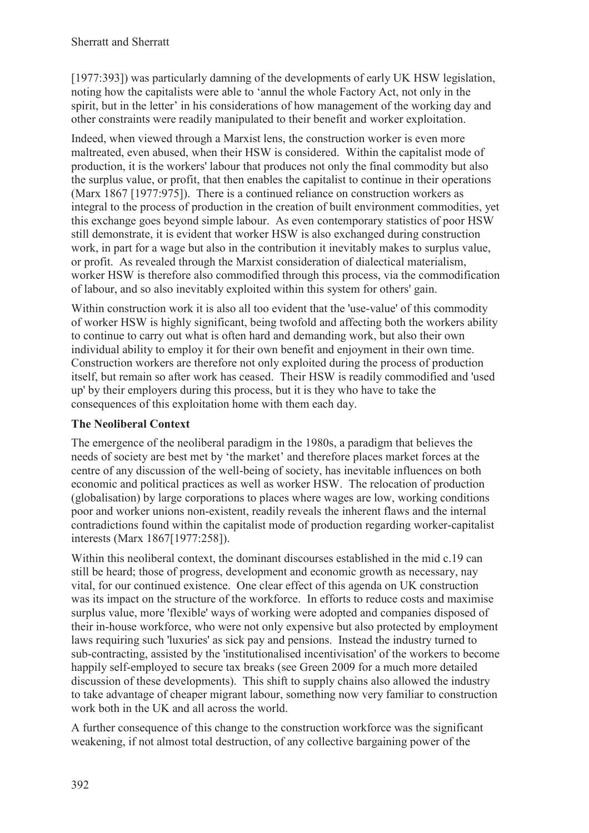[1977:393]) was particularly damning of the developments of early UK HSW legislation, noting how the capitalists were able to 'annul the whole Factory Act, not only in the spirit, but in the letter' in his considerations of how management of the working day and other constraints were readily manipulated to their benefit and worker exploitation.

Indeed, when viewed through a Marxist lens, the construction worker is even more maltreated, even abused, when their HSW is considered. Within the capitalist mode of production, it is the workers' labour that produces not only the final commodity but also the surplus value, or profit, that then enables the capitalist to continue in their operations (Marx 1867 [1977:975]). There is a continued reliance on construction workers as integral to the process of production in the creation of built environment commodities, yet this exchange goes beyond simple labour. As even contemporary statistics of poor HSW still demonstrate, it is evident that worker HSW is also exchanged during construction work, in part for a wage but also in the contribution it inevitably makes to surplus value, or profit. As revealed through the Marxist consideration of dialectical materialism, worker HSW is therefore also commodified through this process, via the commodification of labour, and so also inevitably exploited within this system for others' gain.

Within construction work it is also all too evident that the 'use-value' of this commodity of worker HSW is highly significant, being twofold and affecting both the workers ability to continue to carry out what is often hard and demanding work, but also their own individual ability to employ it for their own benefit and enjoyment in their own time. Construction workers are therefore not only exploited during the process of production itself, but remain so after work has ceased. Their HSW is readily commodified and 'used up' by their employers during this process, but it is they who have to take the consequences of this exploitation home with them each day.

#### **The Neoliberal Context**

The emergence of the neoliberal paradigm in the 1980s, a paradigm that believes the needs of society are best met by 'the market' and therefore places market forces at the centre of any discussion of the well-being of society, has inevitable influences on both economic and political practices as well as worker HSW. The relocation of production (globalisation) by large corporations to places where wages are low, working conditions poor and worker unions non-existent, readily reveals the inherent flaws and the internal contradictions found within the capitalist mode of production regarding worker-capitalist interests (Marx 1867[1977:258]).

Within this neoliberal context, the dominant discourses established in the mid c.19 can still be heard; those of progress, development and economic growth as necessary, nay vital, for our continued existence. One clear effect of this agenda on UK construction was its impact on the structure of the workforce. In efforts to reduce costs and maximise surplus value, more 'flexible' ways of working were adopted and companies disposed of their in-house workforce, who were not only expensive but also protected by employment laws requiring such 'luxuries' as sick pay and pensions. Instead the industry turned to sub-contracting, assisted by the 'institutionalised incentivisation' of the workers to become happily self-employed to secure tax breaks (see Green 2009 for a much more detailed discussion of these developments). This shift to supply chains also allowed the industry to take advantage of cheaper migrant labour, something now very familiar to construction work both in the UK and all across the world.

A further consequence of this change to the construction workforce was the significant weakening, if not almost total destruction, of any collective bargaining power of the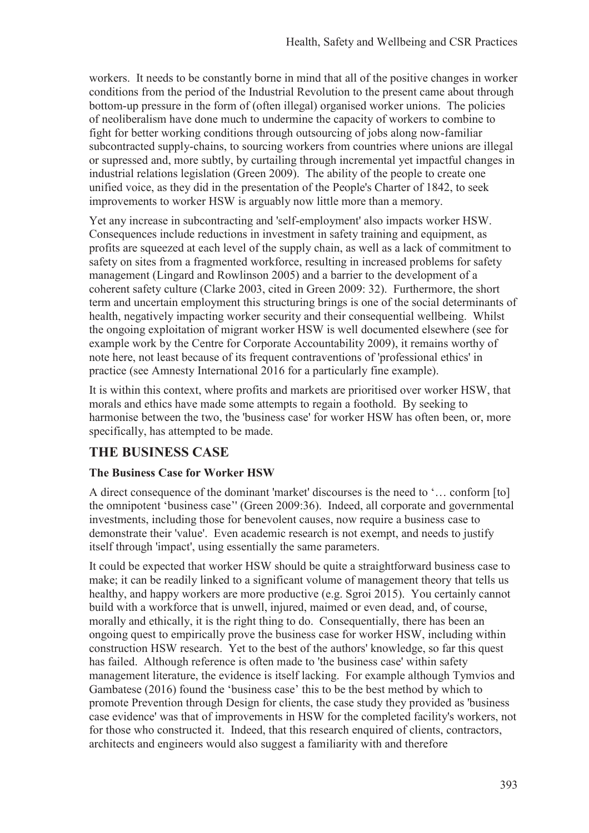workers. It needs to be constantly borne in mind that all of the positive changes in worker conditions from the period of the Industrial Revolution to the present came about through bottom-up pressure in the form of (often illegal) organised worker unions. The policies of neoliberalism have done much to undermine the capacity of workers to combine to fight for better working conditions through outsourcing of jobs along now-familiar subcontracted supply-chains, to sourcing workers from countries where unions are illegal or supressed and, more subtly, by curtailing through incremental yet impactful changes in industrial relations legislation (Green 2009). The ability of the people to create one unified voice, as they did in the presentation of the People's Charter of 1842, to seek improvements to worker HSW is arguably now little more than a memory.

Yet any increase in subcontracting and 'self-employment' also impacts worker HSW. Consequences include reductions in investment in safety training and equipment, as profits are squeezed at each level of the supply chain, as well as a lack of commitment to safety on sites from a fragmented workforce, resulting in increased problems for safety management (Lingard and Rowlinson 2005) and a barrier to the development of a coherent safety culture (Clarke 2003, cited in Green 2009: 32). Furthermore, the short term and uncertain employment this structuring brings is one of the social determinants of health, negatively impacting worker security and their consequential wellbeing. Whilst the ongoing exploitation of migrant worker HSW is well documented elsewhere (see for example work by the Centre for Corporate Accountability 2009), it remains worthy of note here, not least because of its frequent contraventions of 'professional ethics' in practice (see Amnesty International 2016 for a particularly fine example).

It is within this context, where profits and markets are prioritised over worker HSW, that morals and ethics have made some attempts to regain a foothold. By seeking to harmonise between the two, the 'business case' for worker HSW has often been, or, more specifically, has attempted to be made.

### **THE BUSINESS CASE**

#### **The Business Case for Worker HSW**

A direct consequence of the dominant 'market' discourses is the need to '… conform [to] the omnipotent 'business case'' (Green 2009:36). Indeed, all corporate and governmental investments, including those for benevolent causes, now require a business case to demonstrate their 'value'. Even academic research is not exempt, and needs to justify itself through 'impact', using essentially the same parameters.

It could be expected that worker HSW should be quite a straightforward business case to make; it can be readily linked to a significant volume of management theory that tells us healthy, and happy workers are more productive (e.g. Sgroi 2015). You certainly cannot build with a workforce that is unwell, injured, maimed or even dead, and, of course, morally and ethically, it is the right thing to do. Consequentially, there has been an ongoing quest to empirically prove the business case for worker HSW, including within construction HSW research. Yet to the best of the authors' knowledge, so far this quest has failed. Although reference is often made to 'the business case' within safety management literature, the evidence is itself lacking. For example although Tymvios and Gambatese (2016) found the 'business case' this to be the best method by which to promote Prevention through Design for clients, the case study they provided as 'business case evidence' was that of improvements in HSW for the completed facility's workers, not for those who constructed it. Indeed, that this research enquired of clients, contractors, architects and engineers would also suggest a familiarity with and therefore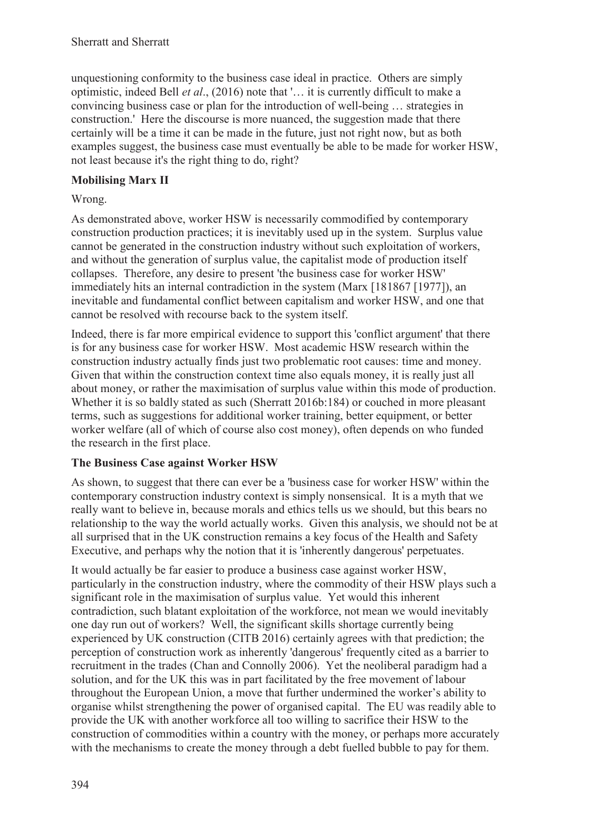unquestioning conformity to the business case ideal in practice. Others are simply optimistic, indeed Bell *et al*., (2016) note that '… it is currently difficult to make a convincing business case or plan for the introduction of well-being … strategies in construction.' Here the discourse is more nuanced, the suggestion made that there certainly will be a time it can be made in the future, just not right now, but as both examples suggest, the business case must eventually be able to be made for worker HSW, not least because it's the right thing to do, right?

#### **Mobilising Marx II**

Wrong.

As demonstrated above, worker HSW is necessarily commodified by contemporary construction production practices; it is inevitably used up in the system. Surplus value cannot be generated in the construction industry without such exploitation of workers, and without the generation of surplus value, the capitalist mode of production itself collapses. Therefore, any desire to present 'the business case for worker HSW' immediately hits an internal contradiction in the system (Marx [181867 [1977]), an inevitable and fundamental conflict between capitalism and worker HSW, and one that cannot be resolved with recourse back to the system itself.

Indeed, there is far more empirical evidence to support this 'conflict argument' that there is for any business case for worker HSW. Most academic HSW research within the construction industry actually finds just two problematic root causes: time and money. Given that within the construction context time also equals money, it is really just all about money, or rather the maximisation of surplus value within this mode of production. Whether it is so baldly stated as such (Sherratt 2016b:184) or couched in more pleasant terms, such as suggestions for additional worker training, better equipment, or better worker welfare (all of which of course also cost money), often depends on who funded the research in the first place.

#### **The Business Case against Worker HSW**

As shown, to suggest that there can ever be a 'business case for worker HSW' within the contemporary construction industry context is simply nonsensical. It is a myth that we really want to believe in, because morals and ethics tells us we should, but this bears no relationship to the way the world actually works. Given this analysis, we should not be at all surprised that in the UK construction remains a key focus of the Health and Safety Executive, and perhaps why the notion that it is 'inherently dangerous' perpetuates.

It would actually be far easier to produce a business case against worker HSW, particularly in the construction industry, where the commodity of their HSW plays such a significant role in the maximisation of surplus value. Yet would this inherent contradiction, such blatant exploitation of the workforce, not mean we would inevitably one day run out of workers? Well, the significant skills shortage currently being experienced by UK construction (CITB 2016) certainly agrees with that prediction; the perception of construction work as inherently 'dangerous' frequently cited as a barrier to recruitment in the trades (Chan and Connolly 2006). Yet the neoliberal paradigm had a solution, and for the UK this was in part facilitated by the free movement of labour throughout the European Union, a move that further undermined the worker's ability to organise whilst strengthening the power of organised capital. The EU was readily able to provide the UK with another workforce all too willing to sacrifice their HSW to the construction of commodities within a country with the money, or perhaps more accurately with the mechanisms to create the money through a debt fuelled bubble to pay for them.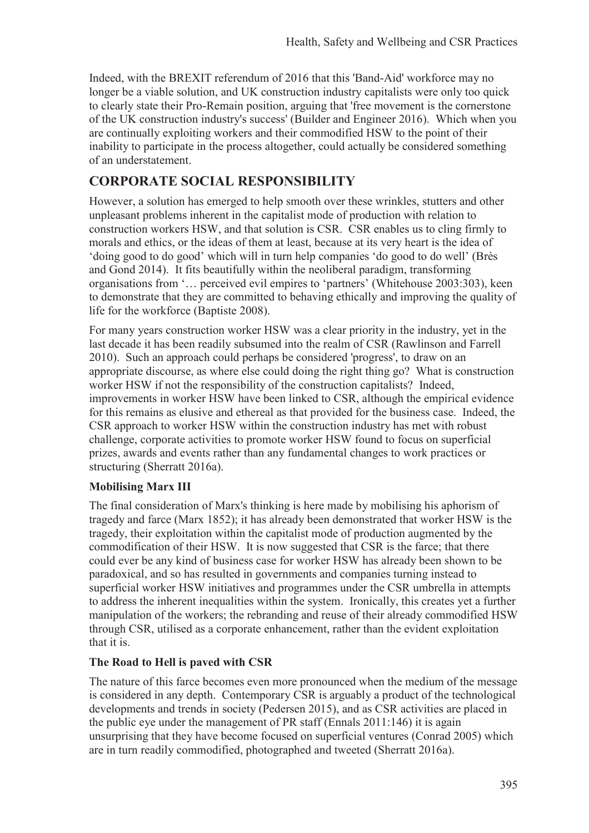Indeed, with the BREXIT referendum of 2016 that this 'Band-Aid' workforce may no longer be a viable solution, and UK construction industry capitalists were only too quick to clearly state their Pro-Remain position, arguing that 'free movement is the cornerstone of the UK construction industry's success' (Builder and Engineer 2016). Which when you are continually exploiting workers and their commodified HSW to the point of their inability to participate in the process altogether, could actually be considered something of an understatement.

### **CORPORATE SOCIAL RESPONSIBILITY**

However, a solution has emerged to help smooth over these wrinkles, stutters and other unpleasant problems inherent in the capitalist mode of production with relation to construction workers HSW, and that solution is CSR. CSR enables us to cling firmly to morals and ethics, or the ideas of them at least, because at its very heart is the idea of 'doing good to do good' which will in turn help companies 'do good to do well' (Brès and Gond 2014). It fits beautifully within the neoliberal paradigm, transforming organisations from '… perceived evil empires to 'partners' (Whitehouse 2003:303), keen to demonstrate that they are committed to behaving ethically and improving the quality of life for the workforce (Baptiste 2008).

For many years construction worker HSW was a clear priority in the industry, yet in the last decade it has been readily subsumed into the realm of CSR (Rawlinson and Farrell 2010). Such an approach could perhaps be considered 'progress', to draw on an appropriate discourse, as where else could doing the right thing go? What is construction worker HSW if not the responsibility of the construction capitalists? Indeed, improvements in worker HSW have been linked to CSR, although the empirical evidence for this remains as elusive and ethereal as that provided for the business case. Indeed, the CSR approach to worker HSW within the construction industry has met with robust challenge, corporate activities to promote worker HSW found to focus on superficial prizes, awards and events rather than any fundamental changes to work practices or structuring (Sherratt 2016a).

#### **Mobilising Marx III**

The final consideration of Marx's thinking is here made by mobilising his aphorism of tragedy and farce (Marx 1852); it has already been demonstrated that worker HSW is the tragedy, their exploitation within the capitalist mode of production augmented by the commodification of their HSW. It is now suggested that CSR is the farce; that there could ever be any kind of business case for worker HSW has already been shown to be paradoxical, and so has resulted in governments and companies turning instead to superficial worker HSW initiatives and programmes under the CSR umbrella in attempts to address the inherent inequalities within the system. Ironically, this creates yet a further manipulation of the workers; the rebranding and reuse of their already commodified HSW through CSR, utilised as a corporate enhancement, rather than the evident exploitation that it is.

#### **The Road to Hell is paved with CSR**

The nature of this farce becomes even more pronounced when the medium of the message is considered in any depth. Contemporary CSR is arguably a product of the technological developments and trends in society (Pedersen 2015), and as CSR activities are placed in the public eye under the management of PR staff (Ennals 2011:146) it is again unsurprising that they have become focused on superficial ventures (Conrad 2005) which are in turn readily commodified, photographed and tweeted (Sherratt 2016a).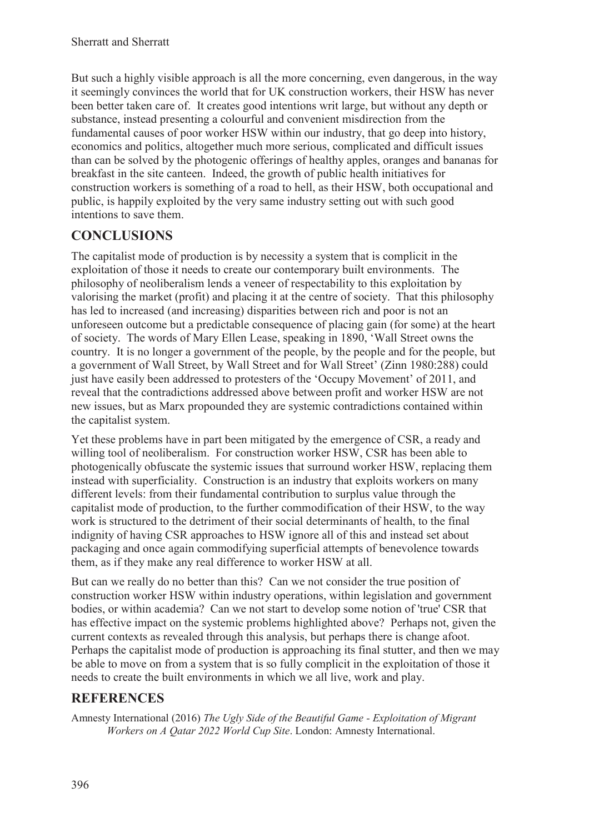But such a highly visible approach is all the more concerning, even dangerous, in the way it seemingly convinces the world that for UK construction workers, their HSW has never been better taken care of. It creates good intentions writ large, but without any depth or substance, instead presenting a colourful and convenient misdirection from the fundamental causes of poor worker HSW within our industry, that go deep into history, economics and politics, altogether much more serious, complicated and difficult issues than can be solved by the photogenic offerings of healthy apples, oranges and bananas for breakfast in the site canteen. Indeed, the growth of public health initiatives for construction workers is something of a road to hell, as their HSW, both occupational and public, is happily exploited by the very same industry setting out with such good intentions to save them.

## **CONCLUSIONS**

The capitalist mode of production is by necessity a system that is complicit in the exploitation of those it needs to create our contemporary built environments. The philosophy of neoliberalism lends a veneer of respectability to this exploitation by valorising the market (profit) and placing it at the centre of society. That this philosophy has led to increased (and increasing) disparities between rich and poor is not an unforeseen outcome but a predictable consequence of placing gain (for some) at the heart of society. The words of Mary Ellen Lease, speaking in 1890, 'Wall Street owns the country. It is no longer a government of the people, by the people and for the people, but a government of Wall Street, by Wall Street and for Wall Street' (Zinn 1980:288) could just have easily been addressed to protesters of the 'Occupy Movement' of 2011, and reveal that the contradictions addressed above between profit and worker HSW are not new issues, but as Marx propounded they are systemic contradictions contained within the capitalist system.

Yet these problems have in part been mitigated by the emergence of CSR, a ready and willing tool of neoliberalism. For construction worker HSW, CSR has been able to photogenically obfuscate the systemic issues that surround worker HSW, replacing them instead with superficiality. Construction is an industry that exploits workers on many different levels: from their fundamental contribution to surplus value through the capitalist mode of production, to the further commodification of their HSW, to the way work is structured to the detriment of their social determinants of health, to the final indignity of having CSR approaches to HSW ignore all of this and instead set about packaging and once again commodifying superficial attempts of benevolence towards them, as if they make any real difference to worker HSW at all.

But can we really do no better than this? Can we not consider the true position of construction worker HSW within industry operations, within legislation and government bodies, or within academia? Can we not start to develop some notion of 'true' CSR that has effective impact on the systemic problems highlighted above? Perhaps not, given the current contexts as revealed through this analysis, but perhaps there is change afoot. Perhaps the capitalist mode of production is approaching its final stutter, and then we may be able to move on from a system that is so fully complicit in the exploitation of those it needs to create the built environments in which we all live, work and play.

## **REFERENCES**

Amnesty International (2016) *The Ugly Side of the Beautiful Game - Exploitation of Migrant Workers on A Qatar 2022 World Cup Site*. London: Amnesty International.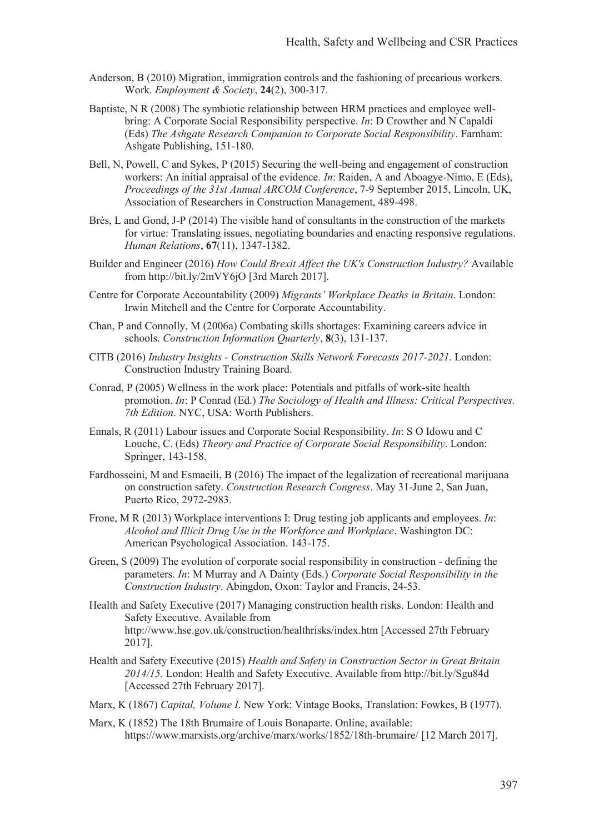- Anderson, B (2010) Migration, immigration controls and the fashioning of precarious workers. Work. *Employment & Society*, **24**(2), 300-317.
- Baptiste, N R (2008) The symbiotic relationship between HRM practices and employee wellbring: A Corporate Social Responsibility perspective. *In*: D Crowther and N Capaldi (Eds) *The Ashgate Research Companion to Corporate Social Responsibility*. Farnham: Ashgate Publishing, 151-180.
- Bell, N, Powell, C and Sykes, P (2015) Securing the well-being and engagement of construction workers: An initial appraisal of the evidence. *In*: Raiden, A and Aboagye-Nimo, E (Eds), *Proceedings of the 31st Annual ARCOM Conference*, 7-9 September 2015, Lincoln, UK, Association of Researchers in Construction Management, 489-498.
- Brès, L and Gond, J-P (2014) The visible hand of consultants in the construction of the markets for virtue: Translating issues, negotiating boundaries and enacting responsive regulations. *Human Relations*, **67**(11), 1347-1382.
- Builder and Engineer (2016) *How Could Brexit Affect the UK's Construction Industry?* Available from http://bit.ly/2mVY6jO [3rd March 2017].
- Centre for Corporate Accountability (2009) *Migrants' Workplace Deaths in Britain*. London: Irwin Mitchell and the Centre for Corporate Accountability.
- Chan, P and Connolly, M (2006a) Combating skills shortages: Examining careers advice in schools. *Construction Information Quarterly*, **8**(3), 131-137.
- CITB (2016) *Industry Insights Construction Skills Network Forecasts 2017-2021*. London: Construction Industry Training Board.
- Conrad, P (2005) Wellness in the work place: Potentials and pitfalls of work-site health promotion. *In*: P Conrad (Ed.) *The Sociology of Health and Illness: Critical Perspectives. 7th Edition*. NYC, USA: Worth Publishers.
- Ennals, R (2011) Labour issues and Corporate Social Responsibility. *In*: S O Idowu and C Louche, C. (Eds) *Theory and Practice of Corporate Social Responsibility*. London: Springer, 143-158.
- Fardhosseini, M and Esmaeili, B (2016) The impact of the legalization of recreational marijuana on construction safety. *Construction Research Congress*. May 31-June 2, San Juan, Puerto Rico, 2972-2983.
- Frone, M R (2013) Workplace interventions I: Drug testing job applicants and employees. *In*: *Alcohol and Illicit Drug Use in the Workforce and Workplace*. Washington DC: American Psychological Association. 143-175.
- Green, S (2009) The evolution of corporate social responsibility in construction defining the parameters. *In*: M Murray and A Dainty (Eds.) *Corporate Social Responsibility in the Construction Industry*. Abingdon, Oxon: Taylor and Francis, 24-53.
- Health and Safety Executive (2017) Managing construction health risks. London: Health and Safety Executive. Available from http://www.hse.gov.uk/construction/healthrisks/index.htm [Accessed 27th February 2017].
- Health and Safety Executive (2015) *Health and Safety in Construction Sector in Great Britain 2014/15*. London: Health and Safety Executive. Available from http://bit.ly/Sgu84d [Accessed 27th February 2017].
- Marx, K (1867) *Capital, Volume I*. New York: Vintage Books, Translation: Fowkes, B (1977).
- Marx, K (1852) The 18th Brumaire of Louis Bonaparte. Online, available: https://www.marxists.org/archive/marx/works/1852/18th-brumaire/ [12 March 2017].